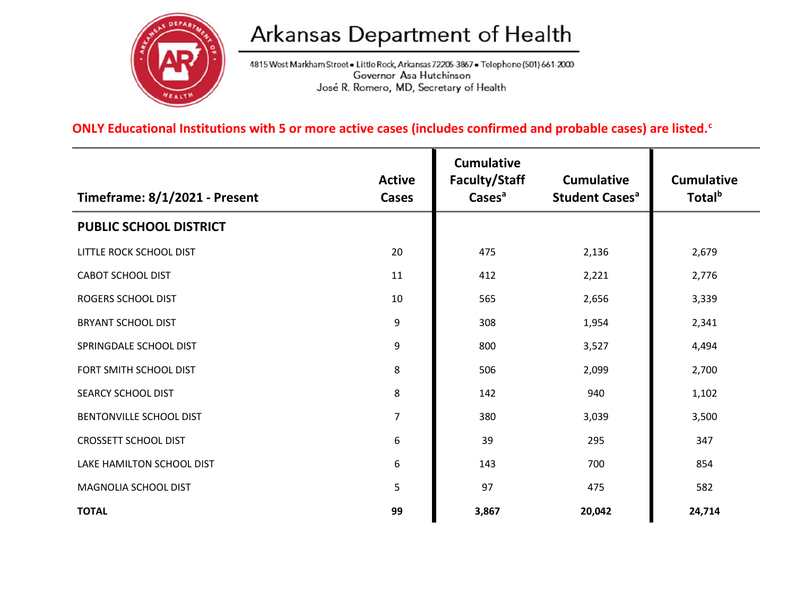

## Arkansas Department of Health

4815 West Markham Street . Little Rock, Arkansas 72205-3867 . Telephone (501) 661-2000 Governor Asa Hutchinson José R. Romero, MD, Secretary of Health

## **ONLY Educational Institutions with 5 or more active cases (includes confirmed and probable cases) are listed.<sup>c</sup>**

| Timeframe: 8/1/2021 - Present | <b>Active</b><br>Cases | <b>Cumulative</b><br>Faculty/Staff<br>Cases <sup>a</sup> | <b>Cumulative</b><br><b>Student Cases<sup>a</sup></b> | <b>Cumulative</b><br>Total <sup>b</sup> |
|-------------------------------|------------------------|----------------------------------------------------------|-------------------------------------------------------|-----------------------------------------|
| <b>PUBLIC SCHOOL DISTRICT</b> |                        |                                                          |                                                       |                                         |
| LITTLE ROCK SCHOOL DIST       | 20                     | 475                                                      | 2,136                                                 | 2,679                                   |
| <b>CABOT SCHOOL DIST</b>      | 11                     | 412                                                      | 2,221                                                 | 2,776                                   |
| ROGERS SCHOOL DIST            | 10                     | 565                                                      | 2,656                                                 | 3,339                                   |
| <b>BRYANT SCHOOL DIST</b>     | 9                      | 308                                                      | 1,954                                                 | 2,341                                   |
| SPRINGDALE SCHOOL DIST        | 9                      | 800                                                      | 3,527                                                 | 4,494                                   |
| FORT SMITH SCHOOL DIST        | 8                      | 506                                                      | 2,099                                                 | 2,700                                   |
| SEARCY SCHOOL DIST            | 8                      | 142                                                      | 940                                                   | 1,102                                   |
| BENTONVILLE SCHOOL DIST       | $\overline{7}$         | 380                                                      | 3,039                                                 | 3,500                                   |
| <b>CROSSETT SCHOOL DIST</b>   | 6                      | 39                                                       | 295                                                   | 347                                     |
| LAKE HAMILTON SCHOOL DIST     | 6                      | 143                                                      | 700                                                   | 854                                     |
| MAGNOLIA SCHOOL DIST          | 5                      | 97                                                       | 475                                                   | 582                                     |
| <b>TOTAL</b>                  | 99                     | 3,867                                                    | 20,042                                                | 24,714                                  |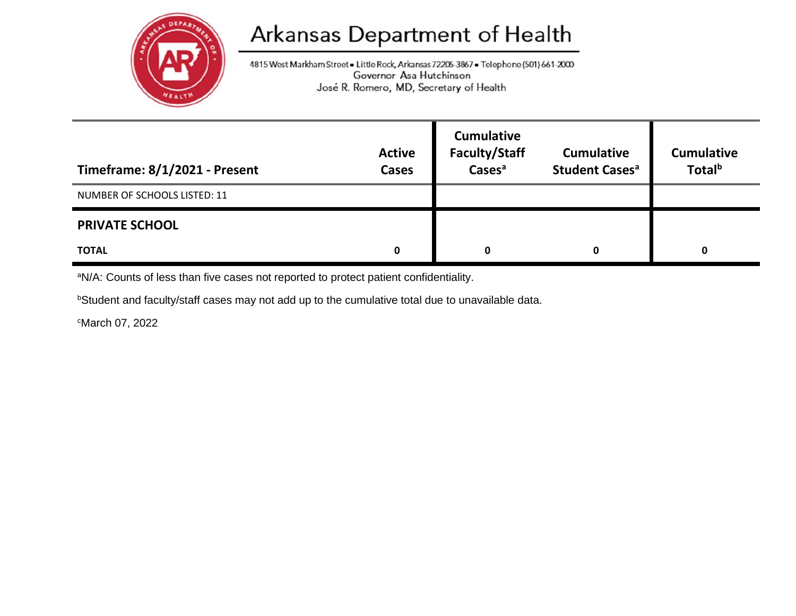

## Arkansas Department of Health

4815 West Markham Street . Little Rock, Arkansas 72205-3867 . Telephone (501) 661-2000 Governor Asa Hutchinson José R. Romero, MD, Secretary of Health

| Timeframe: 8/1/2021 - Present | <b>Active</b><br><b>Cases</b> | <b>Cumulative</b><br><b>Faculty/Staff</b><br>Cases <sup>a</sup> | <b>Cumulative</b><br><b>Student Cases<sup>a</sup></b> | <b>Cumulative</b><br>Total <sup>b</sup> |
|-------------------------------|-------------------------------|-----------------------------------------------------------------|-------------------------------------------------------|-----------------------------------------|
| NUMBER OF SCHOOLS LISTED: 11  |                               |                                                                 |                                                       |                                         |
| <b>PRIVATE SCHOOL</b>         |                               |                                                                 |                                                       |                                         |
| <b>TOTAL</b>                  | 0                             | O                                                               | 0                                                     | 0                                       |

aN/A: Counts of less than five cases not reported to protect patient confidentiality.

**bStudent and faculty/staff cases may not add up to the cumulative total due to unavailable data.** 

<sup>c</sup>March 07, 2022